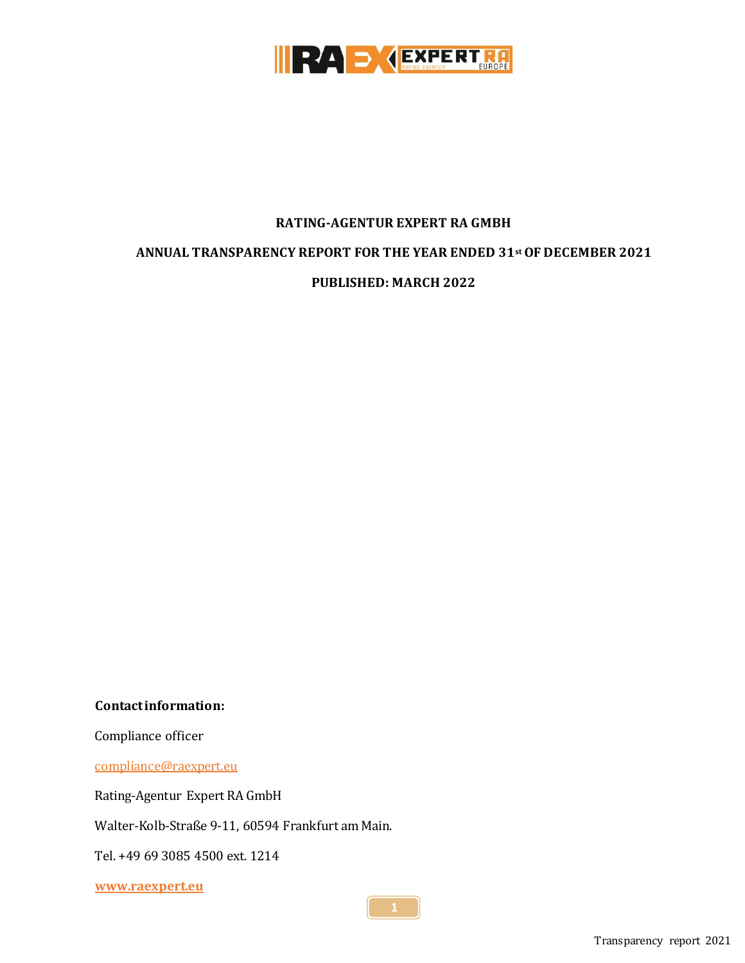

#### **RATING-AGENTUR EXPERT RA GMBH**

#### **ANNUAL TRANSPARENCY REPORT FOR THE YEAR ENDED 31st OF DECEMBER 2021**

**PUBLISHED: MARCH 2022**

**Contact information:**

Compliance officer

[compliance@raexpert.eu](mailto:compliance@raexpert.eu)

Rating-Agentur Expert RA GmbH

Walter-Kolb-Straße 9-11, 60594 Frankfurt am Main.

Tel. +49 69 3085 4500 ext. 1214

**[www.raexpert.eu](http://www.raexpert.eu/)**

Transparency report 2021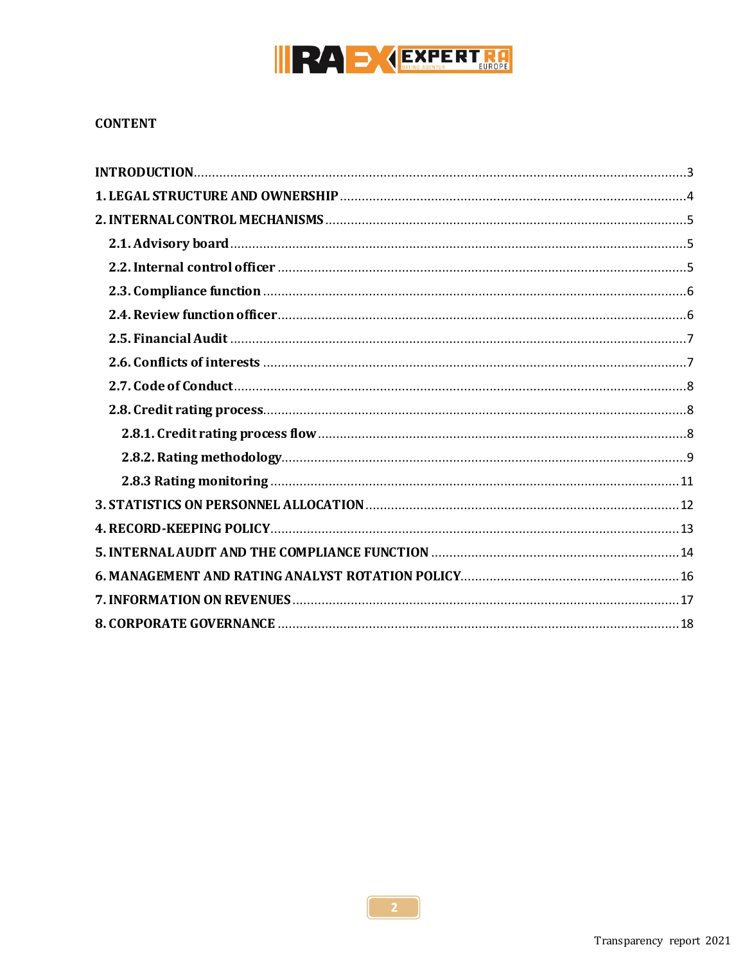

#### **CONTENT**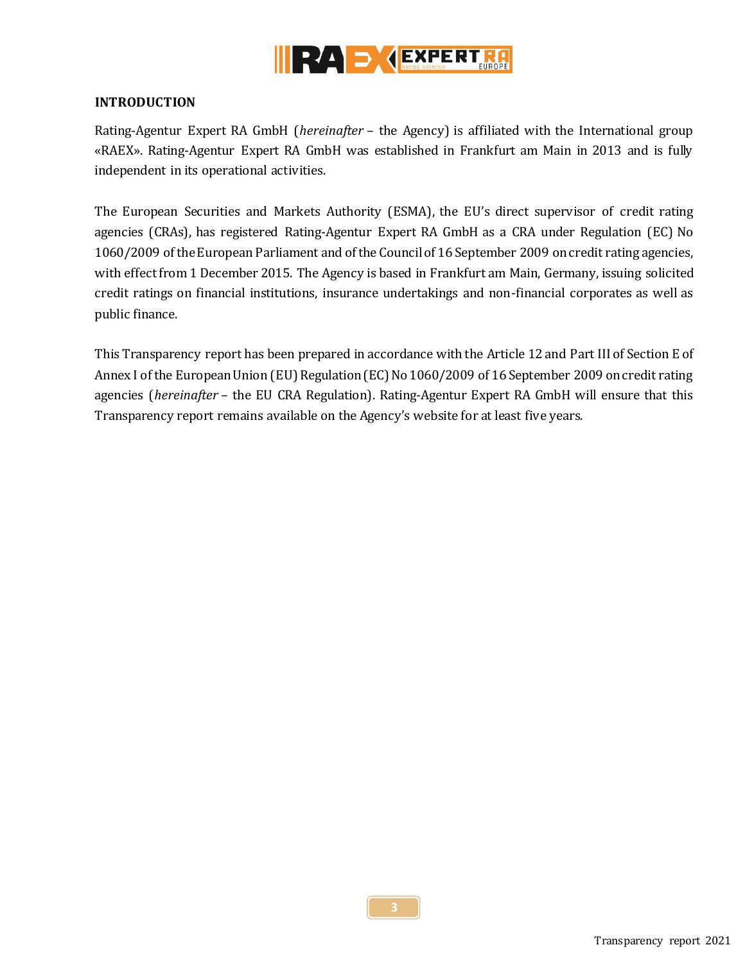

#### <span id="page-2-0"></span>**INTRODUCTION**

Rating-Agentur Expert RA GmbH (*hereinafter* – the Agency) is affiliated with the International group «RAEX». Rating-Agentur Expert RA GmbH was established in Frankfurt am Main in 2013 and is fully independent in its operational activities.

The European Securities and Markets Authority (ESMA), the EU's direct supervisor of credit rating agencies (CRAs), has registered Rating-Agentur Expert RA GmbH as a CRA under Regulation (EC) No 1060/2009 of the European Parliament and of the Council of 16 September 2009 on credit rating agencies, with effect from 1 December 2015. The Agency is based in Frankfurt am Main, Germany, issuing solicited credit ratings on financial institutions, insurance undertakings and non-financial corporates as well as public finance.

This Transparency report has been prepared in accordance with the Article 12 and Part III of Section E of Annex I of the European Union (EU) Regulation (EC) No 1060/2009 of 16 September 2009 on credit rating agencies (*hereinafter* – the EU CRA Regulation). Rating-Agentur Expert RA GmbH will ensure that this Transparency report remains available on the Agency's website for at least five years.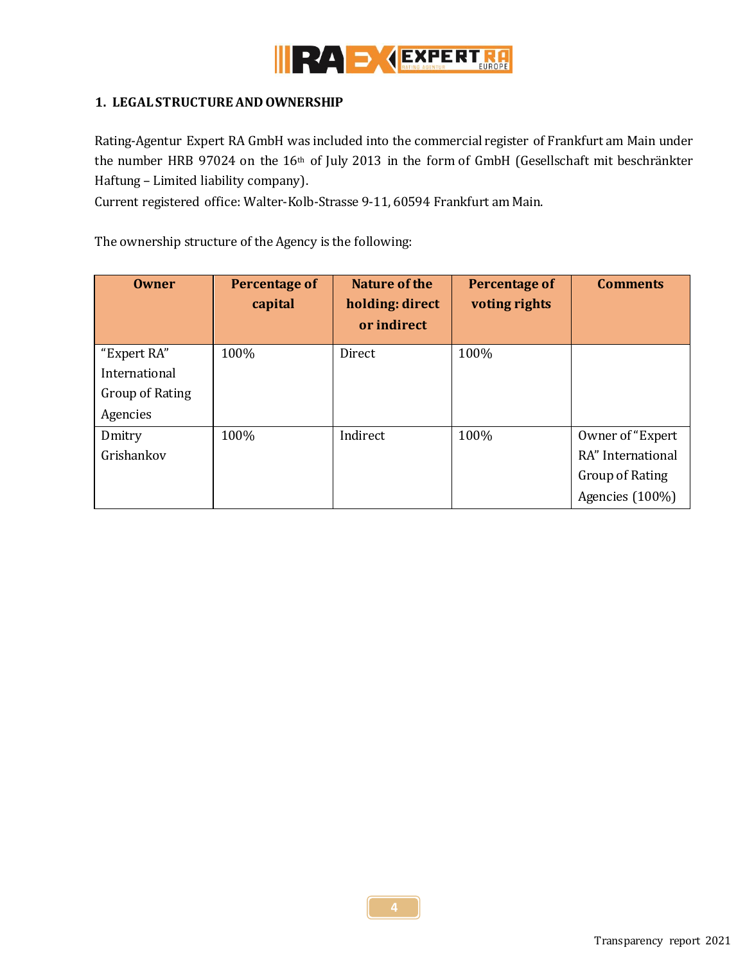

# <span id="page-3-0"></span>**1. LEGAL STRUCTURE AND OWNERSHIP**

Rating-Agentur Expert RA GmbH was included into the commercial register of Frankfurt am Main under the number HRB 97024 on the 16th of July 2013 in the form of GmbH (Gesellschaft mit beschränkter Haftung – Limited liability company).

Current registered office: Walter-Kolb-Strasse 9-11, 60594 Frankfurt am Main.

The ownership structure of the Agency is the following:

| <b>Owner</b>           | Percentage of<br>capital | Nature of the<br>holding: direct<br>or indirect | Percentage of<br>voting rights | <b>Comments</b>   |
|------------------------|--------------------------|-------------------------------------------------|--------------------------------|-------------------|
| "Expert RA"            | 100%                     | Direct                                          | 100%                           |                   |
| International          |                          |                                                 |                                |                   |
| <b>Group of Rating</b> |                          |                                                 |                                |                   |
| Agencies               |                          |                                                 |                                |                   |
| Dmitry                 | 100%                     | Indirect                                        | 100%                           | Owner of "Expert" |
| Grishankov             |                          |                                                 |                                | RA" International |
|                        |                          |                                                 |                                | Group of Rating   |
|                        |                          |                                                 |                                | Agencies (100%)   |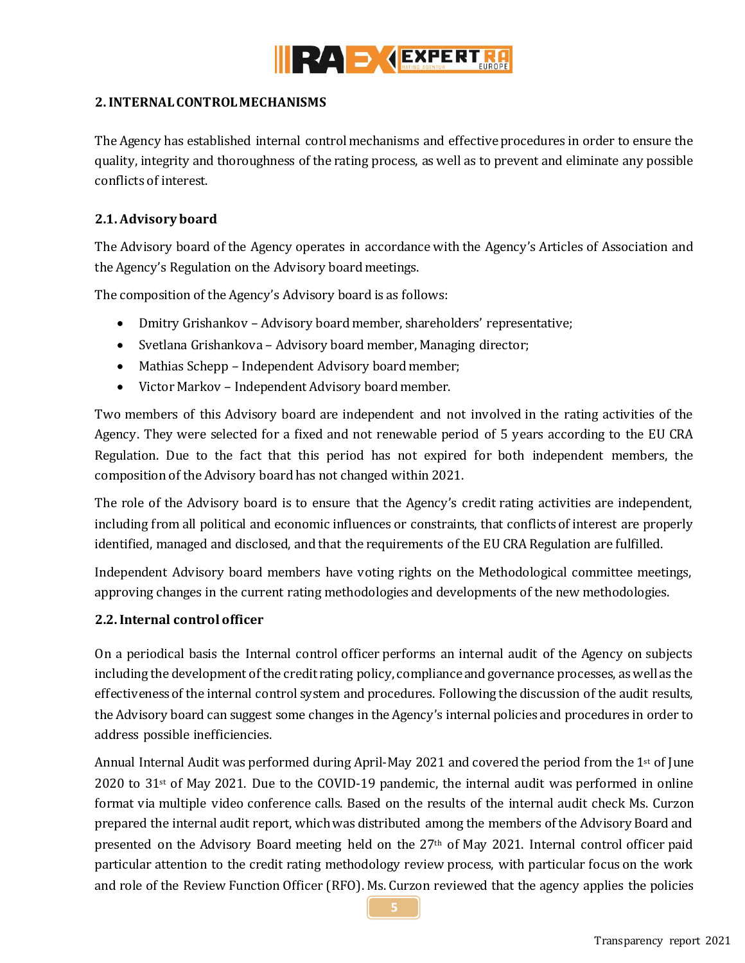

## <span id="page-4-0"></span>**2. INTERNAL CONTROL MECHANISMS**

The Agency has established internal control mechanisms and effective procedures in order to ensure the quality, integrity and thoroughness of the rating process, as well as to prevent and eliminate any possible conflicts of interest.

## <span id="page-4-1"></span>**2.1. Advisory board**

The Advisory board of the Agency operates in accordance with the Agency's Articles of Association and the Agency's Regulation on the Advisory board meetings.

The composition of the Agency's Advisory board is as follows:

- Dmitry Grishankov Advisory board member, shareholders' representative;
- Svetlana Grishankova Advisory board member, Managing director;
- Mathias Schepp Independent Advisory board member;
- Victor Markov Independent Advisory board member.

Two members of this Advisory board are independent and not involved in the rating activities of the Agency. They were selected for a fixed and not renewable period of 5 years according to the EU CRA Regulation. Due to the fact that this period has not expired for both independent members, the composition of the Advisory board has not changed within 2021.

The role of the Advisory board is to ensure that the Agency's credit rating activities are independent, including from all political and economic influences or constraints, that conflicts of interest are properly identified, managed and disclosed, and that the requirements of the EU CRA Regulation are fulfilled.

Independent Advisory board members have voting rights on the Methodological committee meetings, approving changes in the current rating methodologies and developments of the new methodologies.

#### <span id="page-4-2"></span>**2.2. Internal control officer**

On a periodical basis the Internal control officer performs an internal audit of the Agency on subjects including the development of the credit rating policy, compliance and governance processes, as well as the effectiveness of the internal control system and procedures. Following the discussion of the audit results, the Advisory board can suggest some changes in the Agency's internal policies and procedures in order to address possible inefficiencies.

Annual Internal Audit was performed during April-May 2021 and covered the period from the 1st of June  $2020$  to  $31$ <sup>st</sup> of May 2021. Due to the COVID-19 pandemic, the internal audit was performed in online format via multiple video conference calls. Based on the results of the internal audit check Ms. Curzon prepared the internal audit report, which was distributed among the members of the Advisory Board and presented on the Advisory Board meeting held on the 27th of May 2021. Internal control officer paid particular attention to the credit rating methodology review process, with particular focus on the work and role of the Review Function Officer (RFO). Ms. Curzon reviewed that the agency applies the policies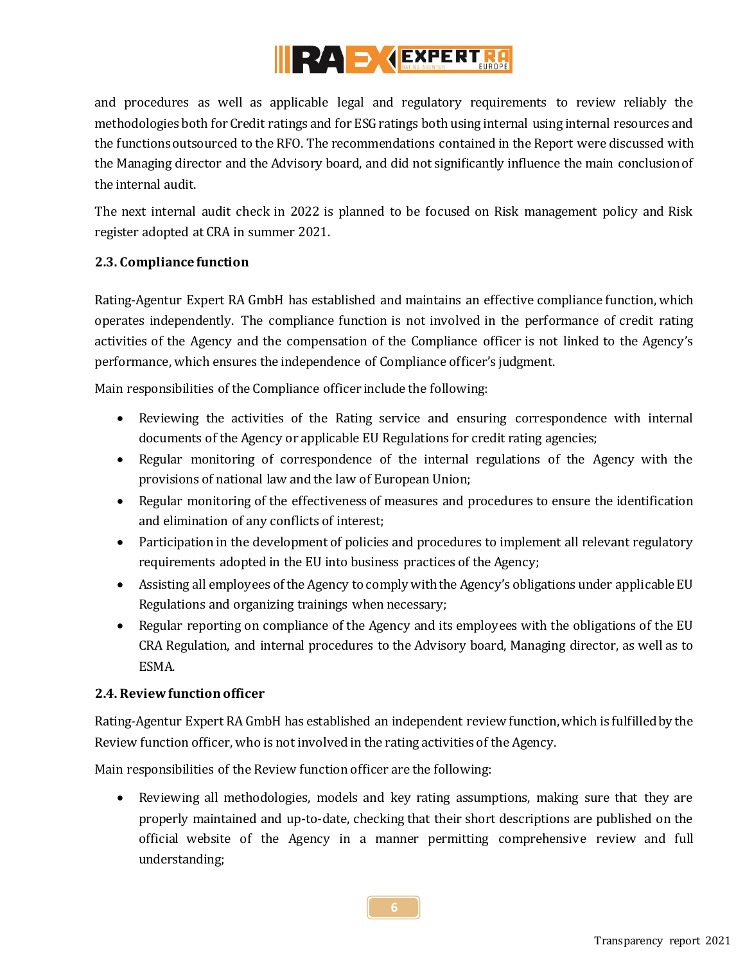

and procedures as well as applicable legal and regulatory requirements to review reliably the methodologies both for Credit ratings and for ESG ratings both using internal using internal resources and the functions outsourced to the RFO. The recommendations contained in the Report were discussed with the Managing director and the Advisory board, and did not significantly influence the main conclusion of the internal audit.

The next internal audit check in 2022 is planned to be focused on Risk management policy and Risk register adopted at CRA in summer 2021.

# <span id="page-5-0"></span>**2.3. Compliance function**

Rating-Agentur Expert RA GmbH has established and maintains an effective compliance function, which operates independently. The compliance function is not involved in the performance of credit rating activities of the Agency and the compensation of the Compliance officer is not linked to the Agency's performance, which ensures the independence of Compliance officer's judgment.

Main responsibilities of the Compliance officer include the following:

- Reviewing the activities of the Rating service and ensuring correspondence with internal documents of the Agency or applicable EU Regulations for credit rating agencies;
- Regular monitoring of correspondence of the internal regulations of the Agency with the provisions of national law and the law of European Union;
- Regular monitoring of the effectiveness of measures and procedures to ensure the identification and elimination of any conflicts of interest;
- Participation in the development of policies and procedures to implement all relevant regulatory requirements adopted in the EU into business practices of the Agency;
- Assisting all employees of the Agency to comply with the Agency's obligations under applicable EU Regulations and organizing trainings when necessary;
- Regular reporting on compliance of the Agency and its employees with the obligations of the EU CRA Regulation, and internal procedures to the Advisory board, Managing director, as well as to ESMA.

#### <span id="page-5-1"></span>**2.4. Review functionofficer**

Rating-Agentur Expert RA GmbH has established an independent review function, which is fulfilled by the Review function officer, who is not involved in the rating activities of the Agency.

Main responsibilities of the Review function officer are the following:

 Reviewing all methodologies, models and key rating assumptions, making sure that they are properly maintained and up-to-date, checking that their short descriptions are published on the official website of the Agency in a manner permitting comprehensive review and full understanding;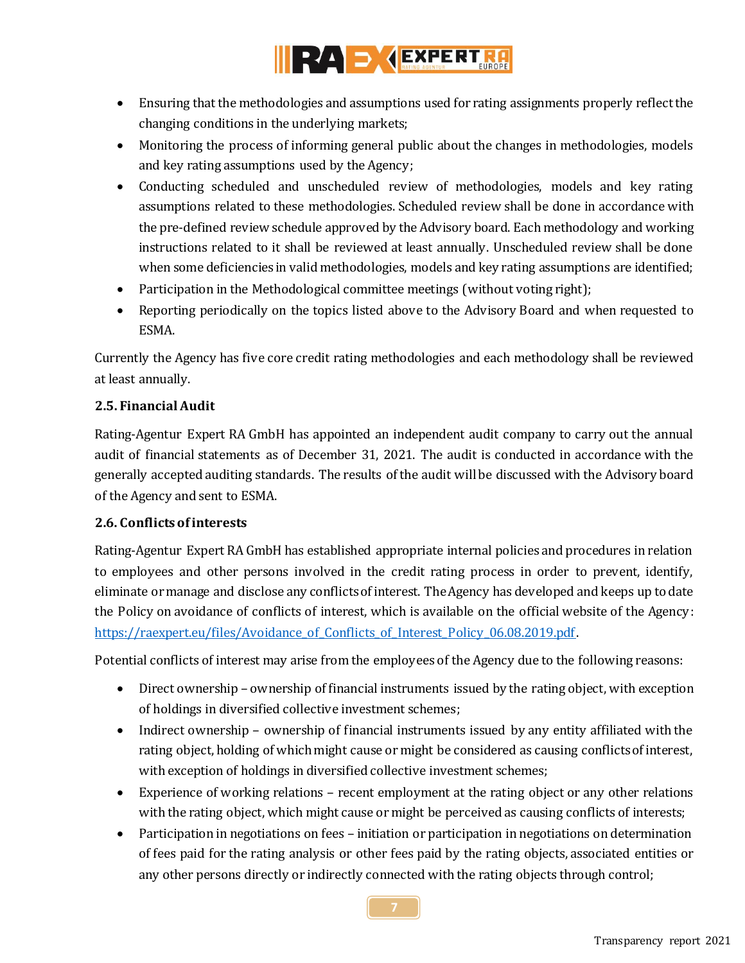

- Ensuring that the methodologies and assumptions used for rating assignments properly reflect the changing conditions in the underlying markets;
- Monitoring the process of informing general public about the changes in methodologies, models and key rating assumptions used by the Agency;
- Conducting scheduled and unscheduled review of methodologies, models and key rating assumptions related to these methodologies. Scheduled review shall be done in accordance with the pre-defined review schedule approved by the Advisory board. Each methodology and working instructions related to it shall be reviewed at least annually. Unscheduled review shall be done when some deficiencies in valid methodologies, models and key rating assumptions are identified;
- Participation in the Methodological committee meetings (without voting right);
- Reporting periodically on the topics listed above to the Advisory Board and when requested to ESMA.

Currently the Agency has five core credit rating methodologies and each methodology shall be reviewed at least annually.

# <span id="page-6-0"></span>**2.5. Financial Audit**

Rating-Agentur Expert RA GmbH has appointed an independent audit company to carry out the annual audit of financial statements as of December 31, 2021. The audit is conducted in accordance with the generally accepted auditing standards. The results of the audit will be discussed with the Advisory board of the Agency and sent to ESMA.

# <span id="page-6-1"></span>**2.6. Conflicts of interests**

Rating-Agentur Expert RA GmbH has established appropriate internal policies and procedures in relation to employees and other persons involved in the credit rating process in order to prevent, identify, eliminate or manage and disclose any conflicts of interest. The Agency has developed and keeps up to date the Policy on avoidance of conflicts of interest, which is available on the official website of the Agency: [https://raexpert.eu/files/Avoidance\\_of\\_Conflicts\\_of\\_Interest\\_Policy\\_06.08.2019.pdf](https://raexpert.eu/files/Avoidance_of_Conflicts_of_Interest_Policy_06.08.2019.pdf).

Potential conflicts of interest may arise from the employees of the Agency due to the following reasons:

- Direct ownership ownership of financial instruments issued by the rating object, with exception of holdings in diversified collective investment schemes;
- Indirect ownership ownership of financial instruments issued by any entity affiliated with the rating object, holding of which might cause or might be considered as causing conflicts of interest, with exception of holdings in diversified collective investment schemes;
- Experience of working relations recent employment at the rating object or any other relations with the rating object, which might cause or might be perceived as causing conflicts of interests;
- Participation in negotiations on fees initiation or participation in negotiations on determination of fees paid for the rating analysis or other fees paid by the rating objects, associated entities or any other persons directly or indirectly connected with the rating objects through control;

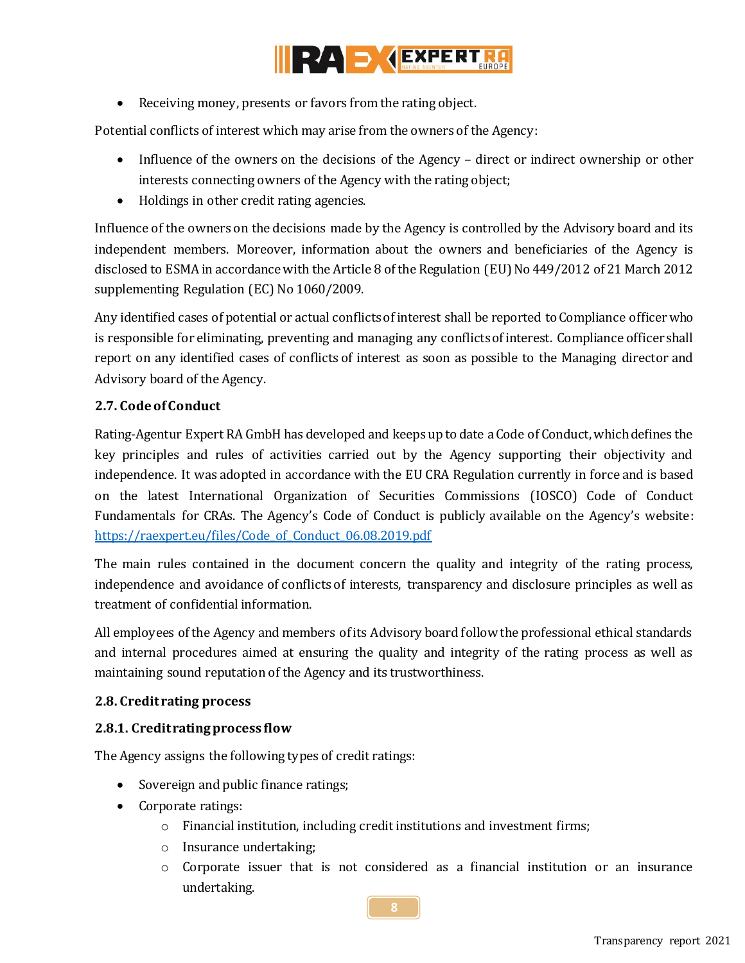

Receiving money, presents or favors from the rating object.

Potential conflicts of interest which may arise from the owners of the Agency:

- Influence of the owners on the decisions of the Agency direct or indirect ownership or other interests connecting owners of the Agency with the rating object;
- Holdings in other credit rating agencies.

Influence of the owners on the decisions made by the Agency is controlled by the Advisory board and its independent members. Moreover, information about the owners and beneficiaries of the Agency is disclosed to ESMA in accordance with the Article 8 of the Regulation (EU) No 449/2012 of 21 March 2012 supplementing Regulation (EC) No 1060/2009.

Any identified cases of potential or actual conflicts of interest shall be reported to Compliance officerwho is responsible for eliminating, preventing and managing any conflicts of interest. Compliance officer shall report on any identified cases of conflicts of interest as soon as possible to the Managing director and Advisory board of the Agency.

# <span id="page-7-0"></span>**2.7. Code of Conduct**

Rating-Agentur Expert RA GmbH has developed and keeps up to date a Code of Conduct, which defines the key principles and rules of activities carried out by the Agency supporting their objectivity and independence. It was adopted in accordance with the EU CRA Regulation currently in force and is based on the latest International Organization of Securities Commissions (IOSCO) Code of Conduct Fundamentals for CRAs. The Agency's Code of Conduct is publicly available on the Agency's website: [https://raexpert.eu/files/Code\\_of\\_Conduct\\_06.08.2019.pdf](https://raexpert.eu/files/Code_of_Conduct_06.08.2019.pdf)

The main rules contained in the document concern the quality and integrity of the rating process, independence and avoidance of conflicts of interests, transparency and disclosure principles as well as treatment of confidential information.

All employees of the Agency and members of its Advisory board follow the professional ethical standards and internal procedures aimed at ensuring the quality and integrity of the rating process as well as maintaining sound reputation of the Agency and its trustworthiness.

#### <span id="page-7-1"></span>**2.8. Credit rating process**

#### <span id="page-7-2"></span>**2.8.1. Credit rating process flow**

The Agency assigns the following types of credit ratings:

- Sovereign and public finance ratings;
- Corporate ratings:
	- o Financial institution, including credit institutions and investment firms;
	- o Insurance undertaking;
	- $\circ$  Corporate issuer that is not considered as a financial institution or an insurance undertaking.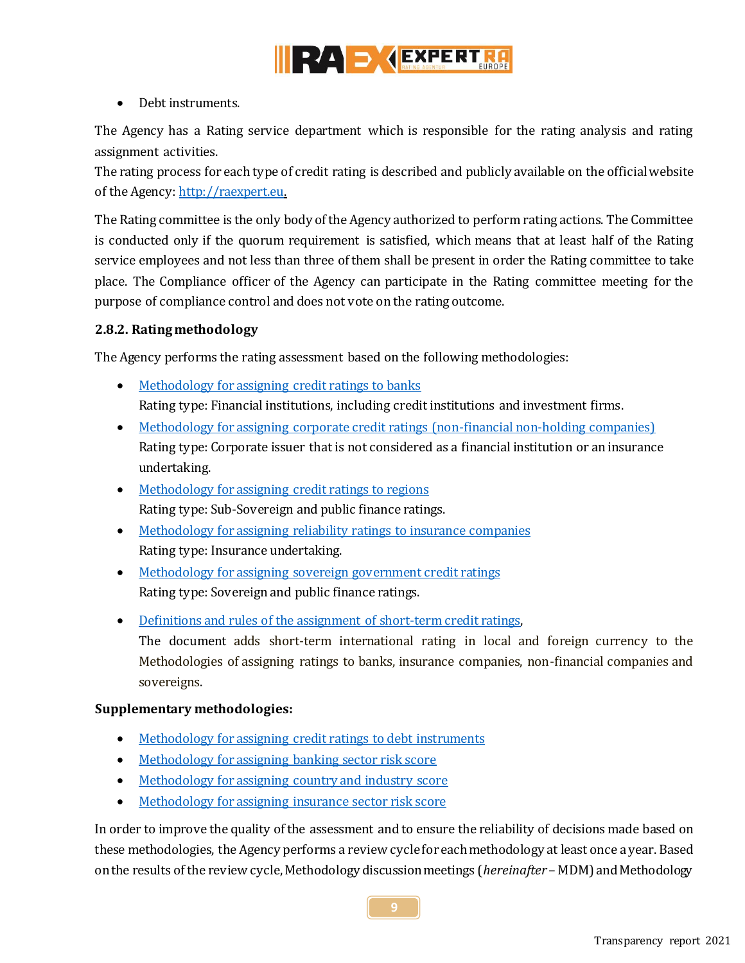

• Debt instruments.

The Agency has a Rating service department which is responsible for the rating analysis and rating assignment activities.

The rating process for each type of credit rating is described and publicly available on the official website of the Agency[: http://raexpert.eu.](http://raexpert.eu/)

The Rating committee is the only body of the Agency authorized to perform rating actions. The Committee is conducted only if the quorum requirement is satisfied, which means that at least half of the Rating service employees and not less than three of them shall be present in order the Rating committee to take place. The Compliance officer of the Agency can participate in the Rating committee meeting for the purpose of compliance control and does not vote on the rating outcome.

# <span id="page-8-0"></span>**2.8.2. Rating methodology**

The Agency performs the rating assessment based on the following methodologies:

- [Methodology for assigning credit ratings to banks](https://raexpert.eu/files/Methodology_Full_Banks_V7_August2020.pdf) Rating type: Financial institutions, including credit institutions and investment firms.
- [Methodology for assigning corporate credit ratings \(non-financial non-holding companies\)](https://raexpert.eu/files/Methodology_Corporate_Full_V5_August_2020.pdf) Rating type: Corporate issuer that is not considered as a financial institution or an insurance undertaking.
- [Methodology for assigning credit ratings to regions](https://raexpert.eu/files/Methodology_-_Full_-_Credit_Ratings_-_Regions_V5_August2020.pdf) Rating type: Sub-Sovereign and public finance ratings.
- [Methodology for assigning reliability](https://raexpert.eu/files/Methodology_Full_Non-life_Insurance_V4_August2020.pdf) ratings to insurance companies Rating type: Insurance undertaking.
- [Methodology for assigning sovereign government credit ratings](https://raexpert.eu/files/Methodology_Full_Sovereign_V5A_August2020.pdf) Rating type: Sovereign and public finance ratings.
- [Definitions and rules of the assignment of short-term credit ratings,](https://raexpert.eu/files/Short-term_credit_ratings_definitions_May2020.pdf)

The document adds short-term international rating in local and foreign currency to the Methodologies of assigning ratings to banks, insurance companies, non-financial companies and sovereigns.

#### **Supplementary methodologies:**

- [Methodology for assigning credit ratings](https://raexpert.eu/files/Methodology_Full_Bonds_November2018.pdf) to debt instruments
- Methodology [for assigning banking sector risk score](https://raexpert.eu/files/Methodology__Anchor_BSR_V3.pdf)
- [Methodology for assigning country and industry score](https://raexpert.eu/files/Methodology_Anchor_CIR_November2018.pdf)
- Methodology [for assigning insurance sector risk score](https://raexpert.eu/files/Methodology_for_assigning_ISR_score-Full.pdf)

In order to improve the quality of the assessment and to ensure the reliability of decisions made based on these methodologies, the Agency performs a review cycle for each methodology at least once a year. Based on the results of the review cycle, Methodology discussion meetings (*hereinafter* – MDM) and Methodology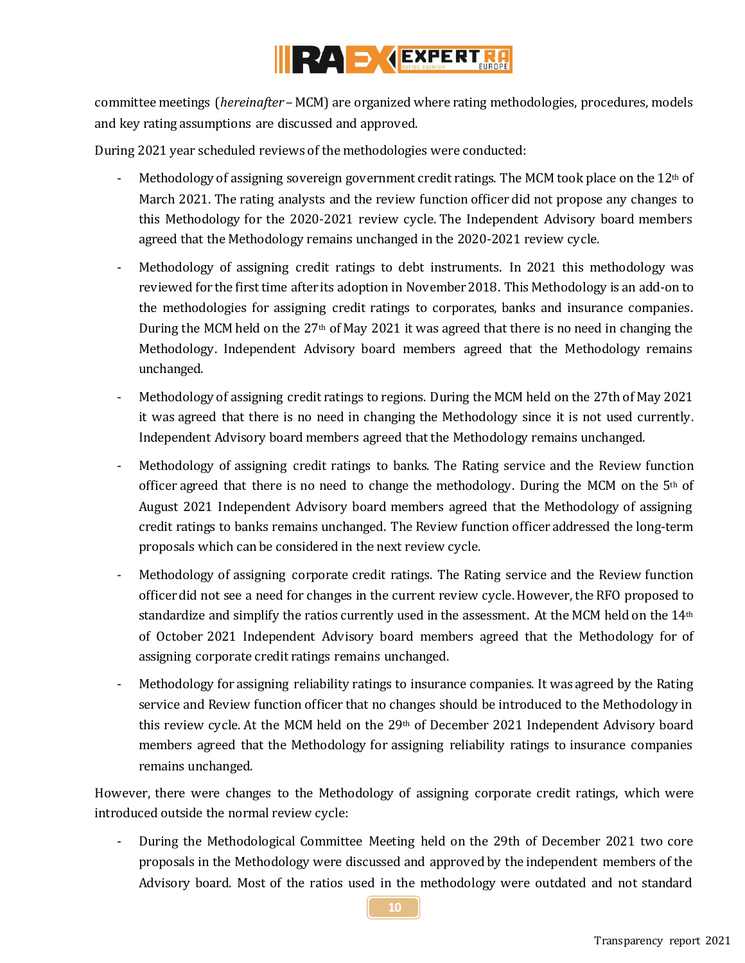

committee meetings (*hereinafter* – MCM) are organized where rating methodologies, procedures, models and key rating assumptions are discussed and approved.

During 2021 year scheduled reviews of the methodologies were conducted:

- Methodology of assigning sovereign government credit ratings. The MCM took place on the  $12<sup>th</sup>$  of March 2021. The rating analysts and the review function officer did not propose any changes to this Methodology for the 2020-2021 review cycle. The Independent Advisory board members agreed that the Methodology remains unchanged in the 2020-2021 review cycle.
- Methodology of assigning credit ratings to debt instruments. In 2021 this methodology was reviewed for the first time after its adoption in November 2018. This Methodology is an add-on to the methodologies for assigning credit ratings to corporates, banks and insurance companies. During the MCM held on the  $27<sup>th</sup>$  of May 2021 it was agreed that there is no need in changing the Methodology. Independent Advisory board members agreed that the Methodology remains unchanged.
- Methodology of assigning credit ratings to regions. During the MCM held on the 27th of May 2021 it was agreed that there is no need in changing the Methodology since it is not used currently. Independent Advisory board members agreed that the Methodology remains unchanged.
- Methodology of assigning credit ratings to banks. The Rating service and the Review function officer agreed that there is no need to change the methodology. During the MCM on the  $5<sup>th</sup>$  of August 2021 Independent Advisory board members agreed that the Methodology of assigning credit ratings to banks remains unchanged. The Review function officer addressed the long-term proposals which can be considered in the next review cycle.
- Methodology of assigning corporate credit ratings. The Rating service and the Review function officer did not see a need for changes in the current review cycle. However, the RFO proposed to standardize and simplify the ratios currently used in the assessment. At the MCM held on the 14<sup>th</sup> of October 2021 Independent Advisory board members agreed that the Methodology for of assigning corporate credit ratings remains unchanged.
- Methodology for assigning reliability ratings to insurance companies. It was agreed by the Rating service and Review function officer that no changes should be introduced to the Methodology in this review cycle. At the MCM held on the 29th of December 2021 Independent Advisory board members agreed that the Methodology for assigning reliability ratings to insurance companies remains unchanged.

However, there were changes to the Methodology of assigning corporate credit ratings, which were introduced outside the normal review cycle:

During the Methodological Committee Meeting held on the 29th of December 2021 two core proposals in the Methodology were discussed and approved by the independent members of the Advisory board. Most of the ratios used in the methodology were outdated and not standard

**10**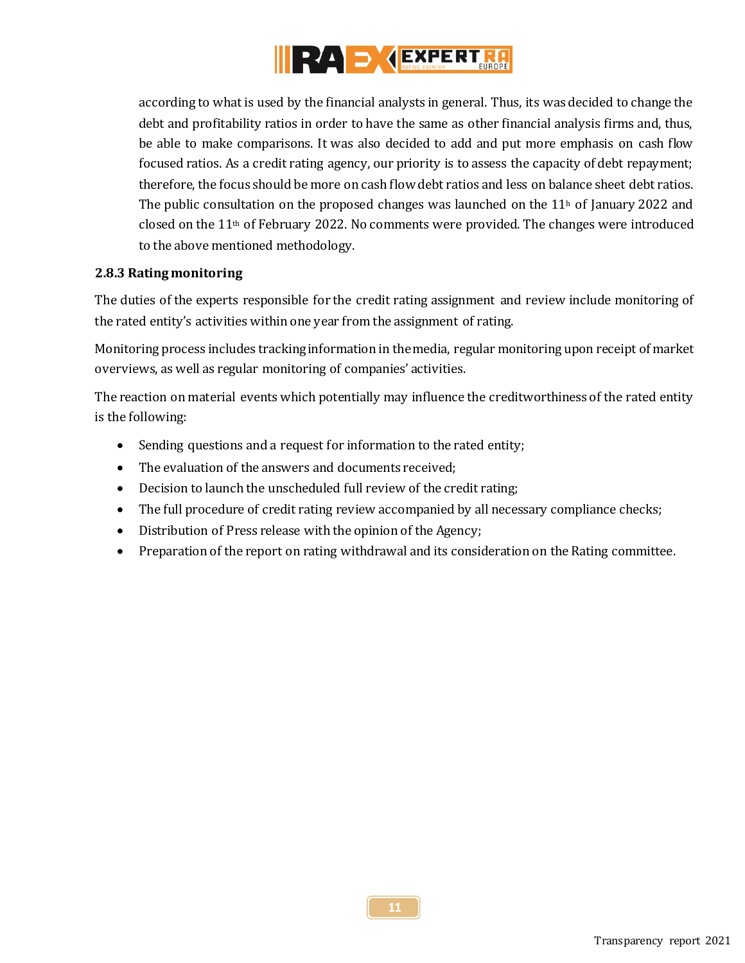

according to what is used by the financial analysts in general. Thus, its was decided to change the debt and profitability ratios in order to have the same as other financial analysis firms and, thus, be able to make comparisons. It was also decided to add and put more emphasis on cash flow focused ratios. As a credit rating agency, our priority is to assess the capacity of debt repayment; therefore, the focus should be more on cash flow debt ratios and less on balance sheet debt ratios. The public consultation on the proposed changes was launched on the  $11<sup>h</sup>$  of January 2022 and closed on the  $11<sup>th</sup>$  of February 2022. No comments were provided. The changes were introduced to the above mentioned methodology.

#### <span id="page-10-0"></span>**2.8.3 Rating monitoring**

The duties of the experts responsible for the credit rating assignment and review include monitoring of the rated entity's activities within one year from the assignment of rating.

Monitoring process includes tracking information in the media, regular monitoring upon receipt of market overviews, as well as regular monitoring of companies' activities.

The reaction on material events which potentially may influence the creditworthiness of the rated entity is the following:

- Sending questions and a request for information to the rated entity;
- The evaluation of the answers and documents received;
- Decision to launch the unscheduled full review of the credit rating;
- The full procedure of credit rating review accompanied by all necessary compliance checks;
- Distribution of Press release with the opinion of the Agency;
- Preparation of the report on rating withdrawal and its consideration on the Rating committee.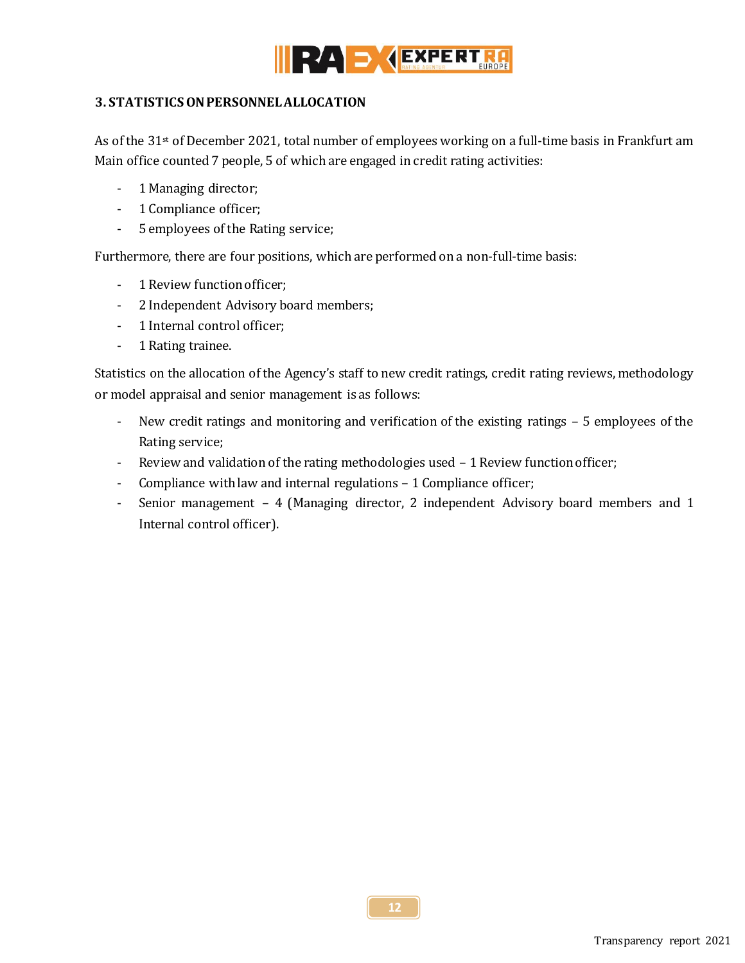

## <span id="page-11-0"></span>**3. STATISTICS ON PERSONNEL ALLOCATION**

As of the 31st of December 2021, total number of employees working on a full-time basis in Frankfurt am Main office counted 7 people, 5 of which are engaged in credit rating activities:

- 1 Managing director;
- 1 Compliance officer;
- 5 employees of the Rating service;

Furthermore, there are four positions, which are performed on a non-full-time basis:

- 1 Review function officer;
- 2 Independent Advisory board members;
- 1 Internal control officer;
- 1 Rating trainee.

Statistics on the allocation of the Agency's staff to new credit ratings, credit rating reviews, methodology or model appraisal and senior management is as follows:

- New credit ratings and monitoring and verification of the existing ratings 5 employees of the Rating service;
- Review and validation of the rating methodologies used  $-1$  Review function officer;
- Compliance with law and internal regulations 1 Compliance officer;
- Senior management 4 (Managing director, 2 independent Advisory board members and 1 Internal control officer).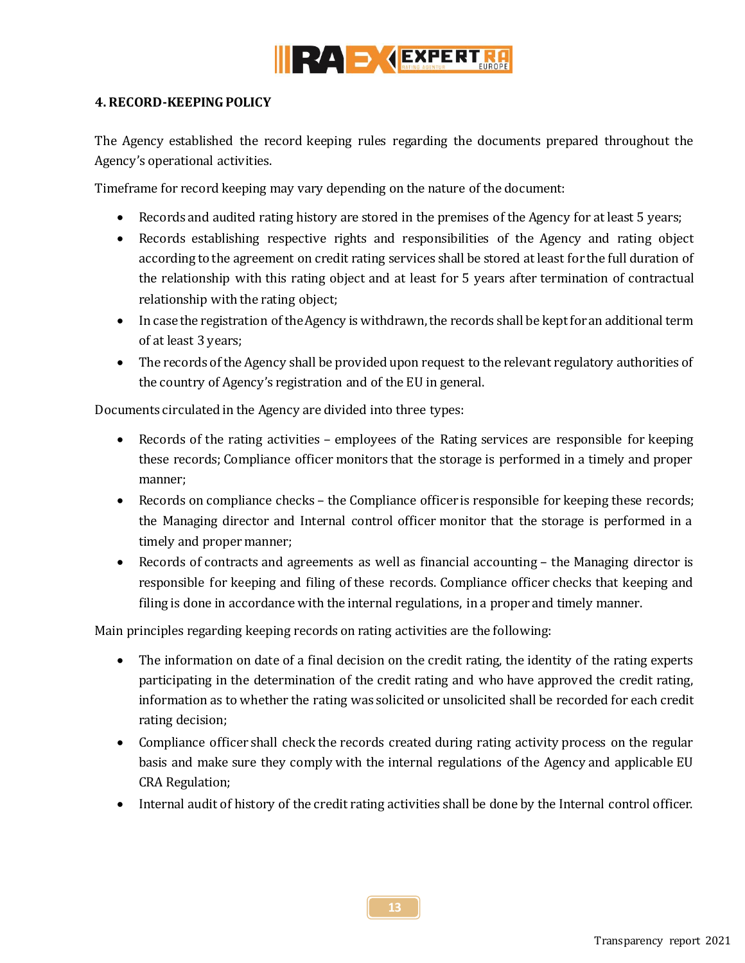

#### <span id="page-12-0"></span>**4. RECORD-KEEPING POLICY**

The Agency established the record keeping rules regarding the documents prepared throughout the Agency's operational activities.

Timeframe for record keeping may vary depending on the nature of the document:

- Records and audited rating history are stored in the premises of the Agency for at least 5 years;
- Records establishing respective rights and responsibilities of the Agency and rating object according to the agreement on credit rating services shall be stored at least for the full duration of the relationship with this rating object and at least for 5 years after termination of contractual relationship with the rating object;
- In case the registration of the Agency is withdrawn, the records shall be kept for an additional term of at least 3 years;
- The records of the Agency shall be provided upon request to the relevant regulatory authorities of the country of Agency's registration and of the EU in general.

Documents circulated in the Agency are divided into three types:

- Records of the rating activities employees of the Rating services are responsible for keeping these records; Compliance officer monitors that the storage is performed in a timely and proper manner;
- Records on compliance checks the Compliance officer is responsible for keeping these records; the Managing director and Internal control officer monitor that the storage is performed in a timely and proper manner;
- Records of contracts and agreements as well as financial accounting the Managing director is responsible for keeping and filing of these records. Compliance officer checks that keeping and filing is done in accordance with the internal regulations, in a proper and timely manner.

Main principles regarding keeping records on rating activities are the following:

- The information on date of a final decision on the credit rating, the identity of the rating experts participating in the determination of the credit rating and who have approved the credit rating, information as to whether the rating was solicited or unsolicited shall be recorded for each credit rating decision;
- Compliance officer shall check the records created during rating activity process on the regular basis and make sure they comply with the internal regulations of the Agency and applicable EU CRA Regulation;
- Internal audit of history of the credit rating activities shall be done by the Internal control officer.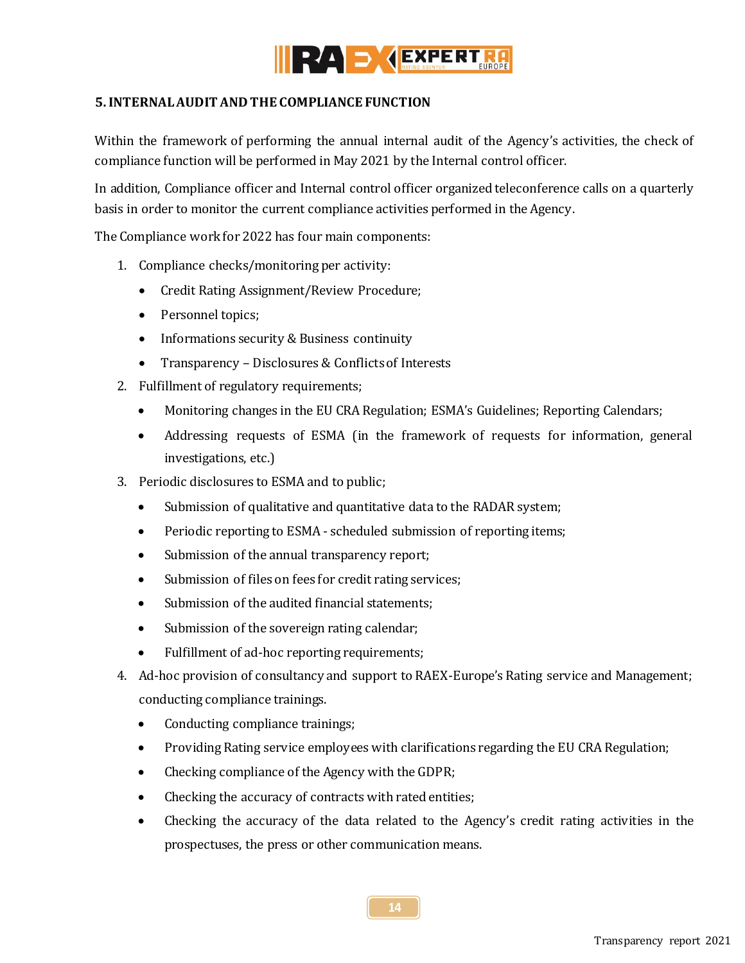

## <span id="page-13-0"></span>**5.INTERNAL AUDIT AND THE COMPLIANCE FUNCTION**

Within the framework of performing the annual internal audit of the Agency's activities, the check of compliance function will be performed in May 2021 by the Internal control officer.

In addition, Compliance officer and Internal control officer organized teleconference calls on a quarterly basis in order to monitor the current compliance activities performed in the Agency.

The Compliance work for 2022 has four main components:

- 1. Compliance checks/monitoring per activity:
	- Credit Rating Assignment/Review Procedure;
	- Personnel topics;
	- Informations security & Business continuity
	- Transparency Disclosures & Conflicts of Interests
- 2. Fulfillment of regulatory requirements;
	- Monitoring changes in the EU CRA Regulation; ESMA's Guidelines; Reporting Calendars;
	- Addressing requests of ESMA (in the framework of requests for information, general investigations, etc.)
- 3. Periodic disclosures to ESMA and to public;
	- Submission of qualitative and quantitative data to the RADAR system;
	- Periodic reporting to ESMA scheduled submission of reporting items;
	- Submission of the annual transparency report;
	- Submission of files on fees for credit rating services;
	- Submission of the audited financial statements;
	- Submission of the sovereign rating calendar;
	- Fulfillment of ad-hoc reporting requirements;
- 4. Ad-hoc provision of consultancy and support to RAEX-Europe's Rating service and Management; conducting compliance trainings.
	- Conducting compliance trainings;
	- Providing Rating service employees with clarifications regarding the EU CRA Regulation;
	- Checking compliance of the Agency with the GDPR;
	- Checking the accuracy of contracts with rated entities;
	- Checking the accuracy of the data related to the Agency's credit rating activities in the prospectuses, the press or other communication means.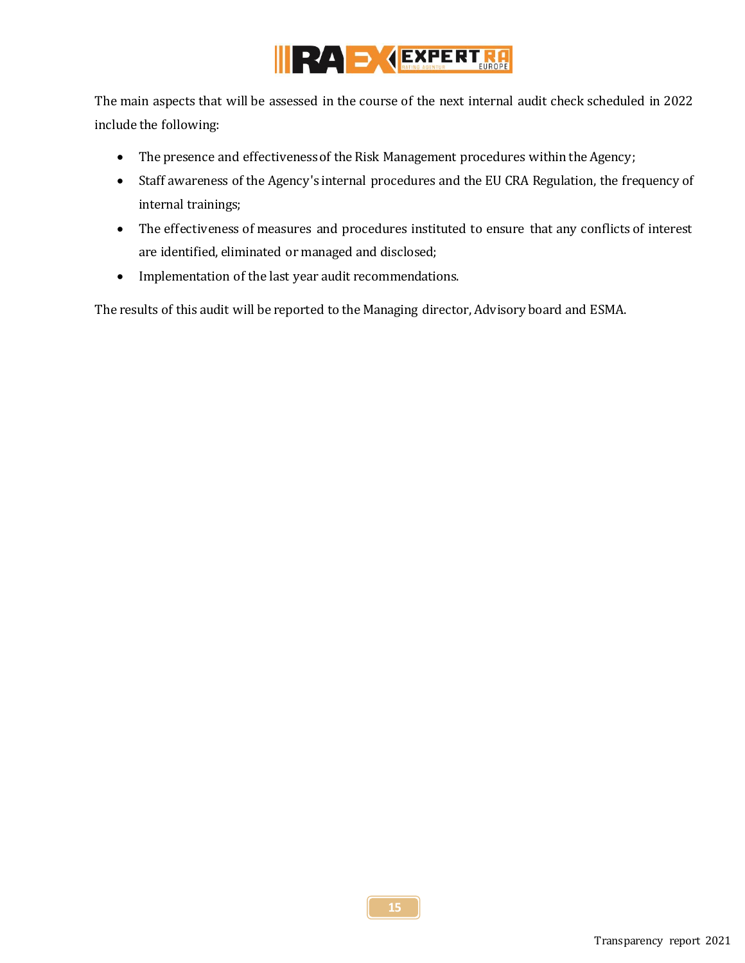

The main aspects that will be assessed in the course of the next internal audit check scheduled in 2022 include the following:

- The presence and effectiveness of the Risk Management procedures within the Agency;
- Staff awareness of the Agency's internal procedures and the EU CRA Regulation, the frequency of internal trainings;
- The effectiveness of measures and procedures instituted to ensure that any conflicts of interest are identified, eliminated or managed and disclosed;
- Implementation of the last year audit recommendations.

The results of this audit will be reported to the Managing director, Advisory board and ESMA.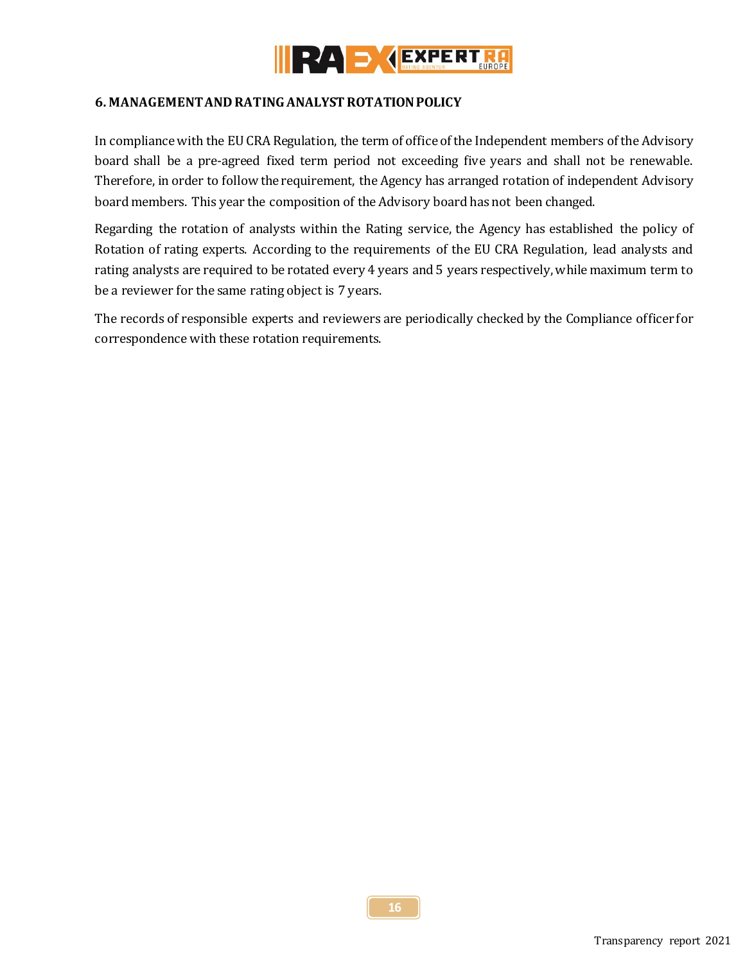

#### <span id="page-15-0"></span>**6. MANAGEMENT AND RATING ANALYST ROTATION POLICY**

In compliance with the EU CRA Regulation, the term of office of the Independent members of the Advisory board shall be a pre-agreed fixed term period not exceeding five years and shall not be renewable. Therefore, in order to follow the requirement, the Agency has arranged rotation of independent Advisory board members. This year the composition of the Advisory board has not been changed.

Regarding the rotation of analysts within the Rating service, the Agency has established the policy of Rotation of rating experts. According to the requirements of the EU CRA Regulation, lead analysts and rating analysts are required to be rotated every 4 years and 5 years respectively, while maximum term to be a reviewer for the same rating object is 7 years.

The records of responsible experts and reviewers are periodically checked by the Compliance officer for correspondence with these rotation requirements.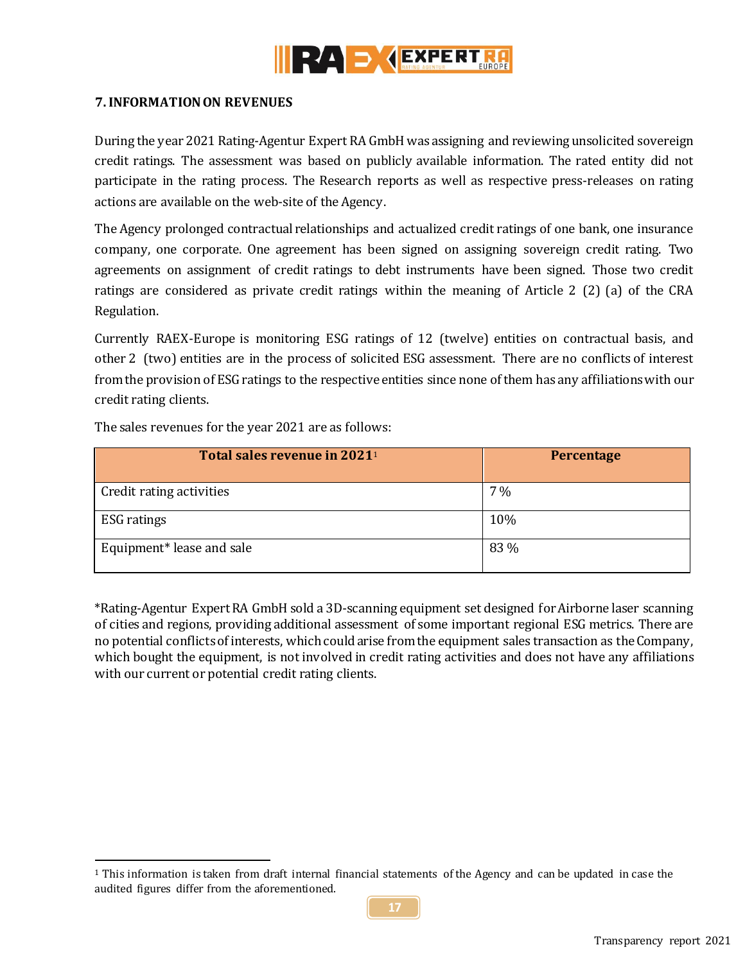

## <span id="page-16-0"></span>**7. INFORMATION ON REVENUES**

During the year 2021 Rating-Agentur Expert RA GmbH was assigning and reviewing unsolicited sovereign credit ratings. The assessment was based on publicly available information. The rated entity did not participate in the rating process. The Research reports as well as respective press-releases on rating actions are available on the web-site of the Agency.

The Agency prolonged contractual relationships and actualized credit ratings of one bank, one insurance company, one corporate. One agreement has been signed on assigning sovereign credit rating. Two agreements on assignment of credit ratings to debt instruments have been signed. Those two credit ratings are considered as private credit ratings within the meaning of Article 2 (2) (a) of the CRA Regulation.

Currently RAEX-Europe is monitoring ESG ratings of 12 (twelve) entities on contractual basis, and other 2 (two) entities are in the process of solicited ESG assessment. There are no conflicts of interest from the provision of ESG ratings to the respective entities since none of them has any affiliations with our credit rating clients.

| Total sales revenue in 2021 <sup>1</sup> | Percentage |
|------------------------------------------|------------|
| Credit rating activities                 | $7\%$      |
| <b>ESG</b> ratings                       | 10%        |
| Equipment* lease and sale                | 83 %       |

The sales revenues for the year 2021 are as follows:

 $\overline{a}$ 

\*Rating-Agentur Expert RA GmbH sold a 3D-scanning equipment set designed for Airborne laser scanning of cities and regions, providing additional assessment of some important regional ESG metrics. There are no potential conflicts of interests, which could arise from the equipment sales transaction as the Company, which bought the equipment, is not involved in credit rating activities and does not have any affiliations with our current or potential credit rating clients.

<sup>1</sup> This information is taken from draft internal financial statements of the Agency and can be updated in case the audited figures differ from the aforementioned.